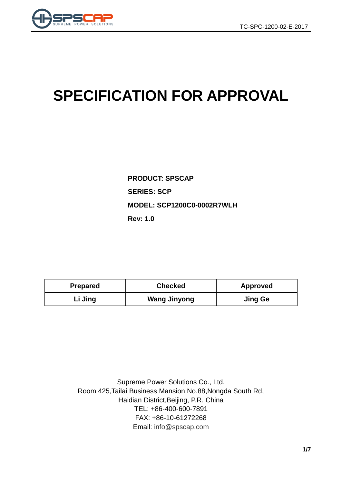

# **SPECIFICATION FOR APPROVAL**

**PRODUCT: SPSCAP SERIES: SCP MODEL: SCP1200C0-0002R7WLH Rev: 1.0**

| <b>Prepared</b> | <b>Checked</b>      | <b>Approved</b> |  |  |
|-----------------|---------------------|-----------------|--|--|
| Li Jing         | <b>Wang Jinyong</b> | <b>Jing Ge</b>  |  |  |

Supreme Power Solutions Co., Ltd. Room 425,Tailai Business Mansion,No.88,Nongda South Rd, Haidian District,Beijing, P.R. China TEL: +86-400-600-7891 FAX: +86-10-61272268 Email: [info@spscap.com](mailto:info@spscap.com)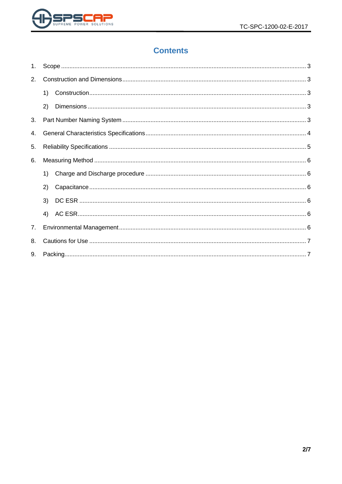

# **Contents**

| 1. |    |  |  |  |  |  |
|----|----|--|--|--|--|--|
| 2. |    |  |  |  |  |  |
|    | 1) |  |  |  |  |  |
|    | 2) |  |  |  |  |  |
| 3. |    |  |  |  |  |  |
| 4. |    |  |  |  |  |  |
| 5. |    |  |  |  |  |  |
| 6. |    |  |  |  |  |  |
|    | 1) |  |  |  |  |  |
|    | 2) |  |  |  |  |  |
|    | 3) |  |  |  |  |  |
|    | 4) |  |  |  |  |  |
| 7. |    |  |  |  |  |  |
| 8. |    |  |  |  |  |  |
| 9. |    |  |  |  |  |  |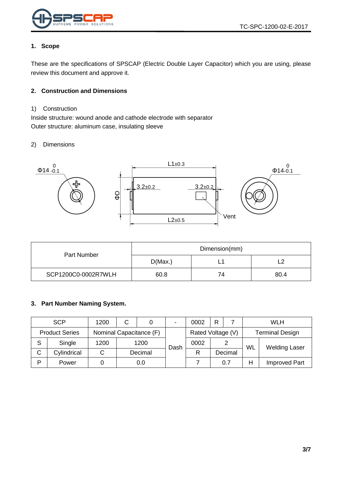

#### <span id="page-2-0"></span>**1. Scope**

These are the specifications of SPSCAP (Electric Double Layer Capacitor) which you are using, please review this document and approve it.

#### <span id="page-2-1"></span>**2. Construction and Dimensions**

#### <span id="page-2-2"></span>1) Construction

Inside structure: wound anode and cathode electrode with separator Outer structure: aluminum case, insulating sleeve

#### <span id="page-2-3"></span>2) Dimensions



|                     | Dimension(mm) |    |      |  |
|---------------------|---------------|----|------|--|
| Part Number         | D(Max.)       | -  |      |  |
| SCP1200C0-0002R7WLH | 60.8          | 74 | 80.4 |  |

#### <span id="page-2-4"></span>**3. Part Number Naming System.**

|   | <b>SCP</b>            | 1200                    | C |         | $\blacksquare$    | 0002 | R                      |         |    | <b>WLH</b>           |
|---|-----------------------|-------------------------|---|---------|-------------------|------|------------------------|---------|----|----------------------|
|   | <b>Product Series</b> | Nominal Capacitance (F) |   |         | Rated Voltage (V) |      | <b>Terminal Design</b> |         |    |                      |
| S | Single                | 1200                    |   | 1200    | Dash              | 0002 |                        |         | WL | <b>Welding Laser</b> |
| C | Cylindrical           |                         |   | Decimal |                   | R    |                        | Decimal |    |                      |
| Þ | Power                 |                         |   | 0.0     |                   |      |                        | 0.7     | Н  | <b>Improved Part</b> |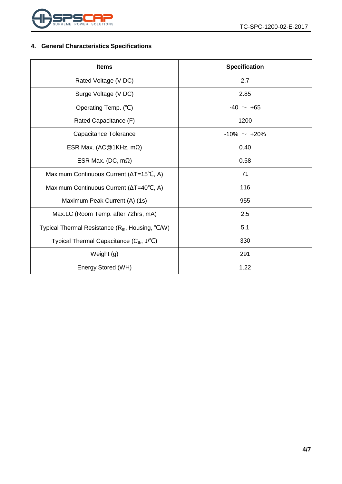

## <span id="page-3-0"></span>**4. General Characteristics Specifications**

| <b>Items</b>                                                 | <b>Specification</b> |  |  |
|--------------------------------------------------------------|----------------------|--|--|
| Rated Voltage (V DC)                                         | 2.7                  |  |  |
| Surge Voltage (V DC)                                         | 2.85                 |  |  |
| Operating Temp. (°C)                                         | $-40 \sim +65$       |  |  |
| Rated Capacitance (F)                                        | 1200                 |  |  |
| Capacitance Tolerance                                        | $-10\% \sim +20\%$   |  |  |
| ESR Max. (AC@1KHz, m $\Omega$ )                              | 0.40                 |  |  |
| ESR Max. (DC, $m\Omega$ )                                    | 0.58                 |  |  |
| Maximum Continuous Current (∆T=15°C, A)                      | 71                   |  |  |
| Maximum Continuous Current (ΔT=40°C, A)                      | 116                  |  |  |
| Maximum Peak Current (A) (1s)                                | 955                  |  |  |
| Max.LC (Room Temp. after 72hrs, mA)                          | 2.5                  |  |  |
| Typical Thermal Resistance (R <sub>th</sub> , Housing, °C/W) | 5.1                  |  |  |
| Typical Thermal Capacitance (C <sub>th</sub> , J/°C)         | 330                  |  |  |
| Weight (g)                                                   | 291                  |  |  |
| Energy Stored (WH)                                           | 1.22                 |  |  |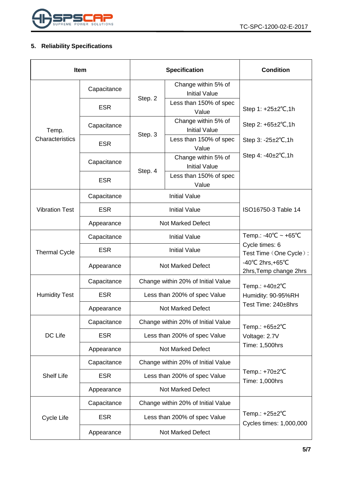

## <span id="page-4-0"></span>**5. Reliability Specifications**

| <b>Item</b>           |             |                                    | <b>Specification</b>                        | <b>Condition</b>                                                 |  |
|-----------------------|-------------|------------------------------------|---------------------------------------------|------------------------------------------------------------------|--|
|                       | Capacitance |                                    | Change within 5% of<br><b>Initial Value</b> |                                                                  |  |
|                       | <b>ESR</b>  | Step. 2                            | Less than 150% of spec<br>Value             | Step 1: +25±2°C,1h                                               |  |
| Temp.                 | Capacitance |                                    | Change within 5% of<br><b>Initial Value</b> | Step 2: $+65\pm2\degree$ C, 1h                                   |  |
| Characteristics       | <b>ESR</b>  | Step. 3                            | Less than 150% of spec<br>Value             | Step $3: -25 \pm 2^{\circ}C, 1h$                                 |  |
|                       | Capacitance |                                    | Change within 5% of<br><b>Initial Value</b> | Step 4: $-40\pm2^{\circ}C$ , 1h                                  |  |
|                       | <b>ESR</b>  | Step. 4                            | Less than 150% of spec<br>Value             |                                                                  |  |
|                       | Capacitance |                                    | <b>Initial Value</b>                        |                                                                  |  |
| <b>Vibration Test</b> | <b>ESR</b>  | <b>Initial Value</b>               |                                             | ISO16750-3 Table 14                                              |  |
|                       | Appearance  | <b>Not Marked Defect</b>           |                                             |                                                                  |  |
| <b>Thermal Cycle</b>  | Capacitance | <b>Initial Value</b>               |                                             | Temp.: -40°C ~ +65°C<br>Cycle times: 6<br>Test Time (One Cycle): |  |
|                       | <b>ESR</b>  | <b>Initial Value</b>               |                                             |                                                                  |  |
|                       | Appearance  |                                    | <b>Not Marked Defect</b>                    | $-40^{\circ}$ C 2hrs, +65 $^{\circ}$ C<br>2hrs, Temp change 2hrs |  |
|                       | Capacitance | Change within 20% of Initial Value |                                             | Temp.: +40±2°C                                                   |  |
| <b>Humidity Test</b>  | <b>ESR</b>  | Less than 200% of spec Value       |                                             | Humidity: 90-95%RH                                               |  |
|                       | Appearance  | <b>Not Marked Defect</b>           |                                             | Test Time: 240±8hrs                                              |  |
|                       | Capacitance |                                    | Change within 20% of Initial Value          | Temp.: $+65\pm2\degree C$                                        |  |
| DC Life               | <b>ESR</b>  | Less than 200% of spec Value       |                                             | Voltage: 2.7V                                                    |  |
|                       | Appearance  | <b>Not Marked Defect</b>           |                                             | Time: 1,500hrs                                                   |  |
|                       | Capacitance | Change within 20% of Initial Value |                                             |                                                                  |  |
| <b>Shelf Life</b>     | <b>ESR</b>  | Less than 200% of spec Value       |                                             | Temp.: +70±2°C<br>Time: 1,000hrs                                 |  |
|                       | Appearance  | <b>Not Marked Defect</b>           |                                             |                                                                  |  |
|                       | Capacitance | Change within 20% of Initial Value |                                             |                                                                  |  |
| Cycle Life            | <b>ESR</b>  |                                    | Less than 200% of spec Value                | Temp.: $+25\pm2$ °C<br>Cycles times: 1,000,000                   |  |
|                       | Appearance  | <b>Not Marked Defect</b>           |                                             |                                                                  |  |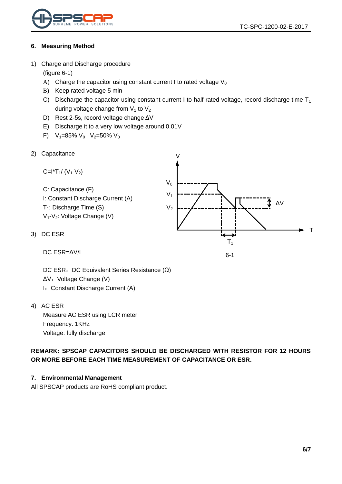

#### <span id="page-5-0"></span>**6. Measuring Method**

<span id="page-5-1"></span>1) Charge and Discharge procedure

(figure 6-1)

- A) Charge the capacitor using constant current I to rated voltage  $V_0$
- B) Keep rated voltage 5 min
- C) Discharge the capacitor using constant current I to half rated voltage, record discharge time  $T_1$ during voltage change from  $V_1$  to  $V_2$
- D) Rest 2-5s, record voltage change ΔV
- E) Discharge it to a very low voltage around 0.01V
- F)  $V_1=85\% V_0 V_2=50\% V_0$
- <span id="page-5-2"></span>2) Capacitance

Capactance

\n
$$
C = I^*T_1 / (V_1 - V_2)
$$
\nC: Capacitance (F)

\nI: Constant Discharge Current (A)

\n
$$
T_1
$$
\nDischarge Time (S)

\n
$$
V_1
$$
\n
$$
V_2
$$
\n
$$
V_3
$$
\n
$$
V_4 - V_2
$$
\nNotage Change (V)

\nDC ESR

\n
$$
T_1
$$
\n
$$
T_2
$$
\n
$$
T_3
$$
\n
$$
T_4
$$
\n
$$
T_5
$$
\n
$$
T_6
$$
\n
$$
T_7
$$

6-1

DC ESR=ΔV/I

DC ESR: DC Equivalent Series Resistance (Ω) ΔV: Voltage Change (V) I: Constant Discharge Current (A)

<span id="page-5-4"></span>4) AC ESR

<span id="page-5-3"></span>3)

Measure AC ESR using LCR meter Frequency: 1KHz Voltage: fully discharge

**REMARK: SPSCAP CAPACITORS SHOULD BE DISCHARGED WITH RESISTOR FOR 12 HOURS OR MORE BEFORE EACH TIME MEASUREMENT OF CAPACITANCE OR ESR.**

#### <span id="page-5-5"></span>**7. Environmental Management**

All SPSCAP products are RoHS compliant product.